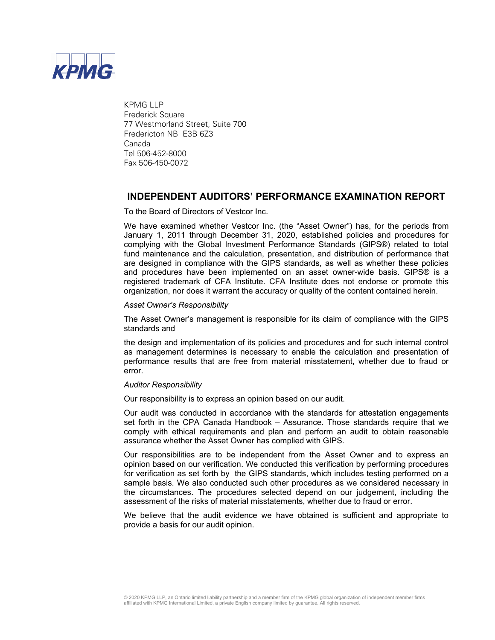

KPMG LLP Frederick Square 77 Westmorland Street, Suite 700 Fredericton NB E3B 6Z3 Canada Tel 506-452-8000 Fax 506-450-0072

# **INDEPENDENT AUDITORS' PERFORMANCE EXAMINATION REPORT**

### To the Board of Directors of Vestcor Inc.

We have examined whether Vestcor Inc. (the "Asset Owner") has, for the periods from January 1, 2011 through December 31, 2020, established policies and procedures for complying with the Global Investment Performance Standards (GIPS®) related to total fund maintenance and the calculation, presentation, and distribution of performance that are designed in compliance with the GIPS standards, as well as whether these policies and procedures have been implemented on an asset owner-wide basis. GIPS® is a registered trademark of CFA Institute. CFA Institute does not endorse or promote this organization, nor does it warrant the accuracy or quality of the content contained herein.

### *Asset Owner's Responsibility*

The Asset Owner's management is responsible for its claim of compliance with the GIPS standards and

the design and implementation of its policies and procedures and for such internal control as management determines is necessary to enable the calculation and presentation of performance results that are free from material misstatement, whether due to fraud or error.

### *Auditor Responsibility*

Our responsibility is to express an opinion based on our audit.

Our audit was conducted in accordance with the standards for attestation engagements set forth in the CPA Canada Handbook – Assurance. Those standards require that we comply with ethical requirements and plan and perform an audit to obtain reasonable assurance whether the Asset Owner has complied with GIPS.

Our responsibilities are to be independent from the Asset Owner and to express an opinion based on our verification. We conducted this verification by performing procedures for verification as set forth by the GIPS standards, which includes testing performed on a sample basis. We also conducted such other procedures as we considered necessary in the circumstances. The procedures selected depend on our judgement, including the assessment of the risks of material misstatements, whether due to fraud or error.

We believe that the audit evidence we have obtained is sufficient and appropriate to provide a basis for our audit opinion.